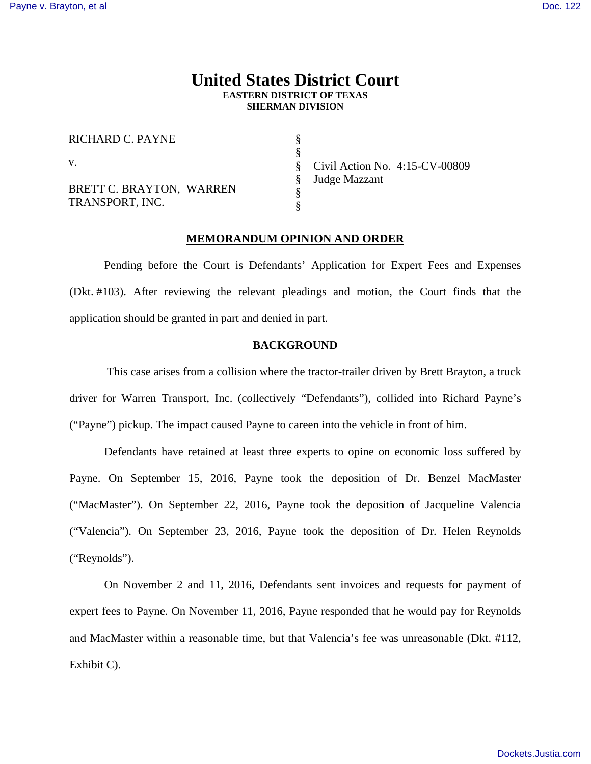# **United States District Court EASTERN DISTRICT OF TEXAS SHERMAN DIVISION**

§ § § § § §

RICHARD C. PAYNE

v.

BRETT C. BRAYTON, WARREN TRANSPORT, INC.

Civil Action No. 4:15-CV-00809 Judge Mazzant

## **MEMORANDUM OPINION AND ORDER**

 Pending before the Court is Defendants' Application for Expert Fees and Expenses (Dkt. #103). After reviewing the relevant pleadings and motion, the Court finds that the application should be granted in part and denied in part.

# **BACKGROUND**

 This case arises from a collision where the tractor-trailer driven by Brett Brayton, a truck driver for Warren Transport, Inc. (collectively "Defendants"), collided into Richard Payne's ("Payne") pickup. The impact caused Payne to careen into the vehicle in front of him.

 Defendants have retained at least three experts to opine on economic loss suffered by Payne. On September 15, 2016, Payne took the deposition of Dr. Benzel MacMaster ("MacMaster"). On September 22, 2016, Payne took the deposition of Jacqueline Valencia ("Valencia"). On September 23, 2016, Payne took the deposition of Dr. Helen Reynolds ("Reynolds").

 On November 2 and 11, 2016, Defendants sent invoices and requests for payment of expert fees to Payne. On November 11, 2016, Payne responded that he would pay for Reynolds and MacMaster within a reasonable time, but that Valencia's fee was unreasonable (Dkt. #112, Exhibit C).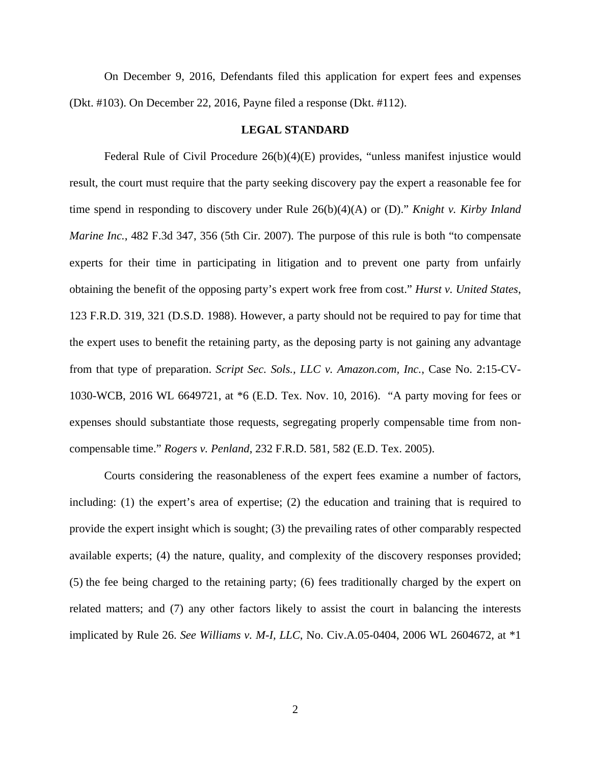On December 9, 2016, Defendants filed this application for expert fees and expenses (Dkt. #103). On December 22, 2016, Payne filed a response (Dkt. #112).

### **LEGAL STANDARD**

 Federal Rule of Civil Procedure 26(b)(4)(E) provides, "unless manifest injustice would result, the court must require that the party seeking discovery pay the expert a reasonable fee for time spend in responding to discovery under Rule 26(b)(4)(A) or (D)." *Knight v. Kirby Inland Marine Inc.*, 482 F.3d 347, 356 (5th Cir. 2007). The purpose of this rule is both "to compensate experts for their time in participating in litigation and to prevent one party from unfairly obtaining the benefit of the opposing party's expert work free from cost." *Hurst v. United States*, 123 F.R.D. 319, 321 (D.S.D. 1988). However, a party should not be required to pay for time that the expert uses to benefit the retaining party, as the deposing party is not gaining any advantage from that type of preparation. *Script Sec. Sols., LLC v. Amazon.com, Inc.*, Case No. 2:15-CV-1030-WCB, 2016 WL 6649721, at \*6 (E.D. Tex. Nov. 10, 2016). "A party moving for fees or expenses should substantiate those requests, segregating properly compensable time from noncompensable time." *Rogers v. Penland*, 232 F.R.D. 581, 582 (E.D. Tex. 2005).

 Courts considering the reasonableness of the expert fees examine a number of factors, including: (1) the expert's area of expertise; (2) the education and training that is required to provide the expert insight which is sought; (3) the prevailing rates of other comparably respected available experts; (4) the nature, quality, and complexity of the discovery responses provided; (5) the fee being charged to the retaining party; (6) fees traditionally charged by the expert on related matters; and (7) any other factors likely to assist the court in balancing the interests implicated by Rule 26. *See Williams v. M-I, LLC*, No. Civ.A.05-0404, 2006 WL 2604672, at \*1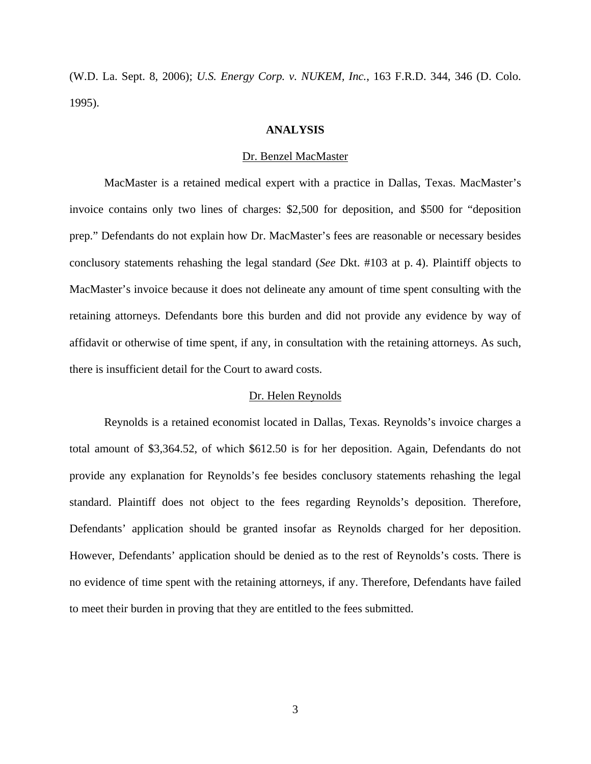(W.D. La. Sept. 8, 2006); *U.S. Energy Corp. v. NUKEM, Inc.*, 163 F.R.D. 344, 346 (D. Colo. 1995).

### **ANALYSIS**

#### Dr. Benzel MacMaster

 MacMaster is a retained medical expert with a practice in Dallas, Texas. MacMaster's invoice contains only two lines of charges: \$2,500 for deposition, and \$500 for "deposition prep." Defendants do not explain how Dr. MacMaster's fees are reasonable or necessary besides conclusory statements rehashing the legal standard (*See* Dkt. #103 at p. 4). Plaintiff objects to MacMaster's invoice because it does not delineate any amount of time spent consulting with the retaining attorneys. Defendants bore this burden and did not provide any evidence by way of affidavit or otherwise of time spent, if any, in consultation with the retaining attorneys. As such, there is insufficient detail for the Court to award costs.

### Dr. Helen Reynolds

 Reynolds is a retained economist located in Dallas, Texas. Reynolds's invoice charges a total amount of \$3,364.52, of which \$612.50 is for her deposition. Again, Defendants do not provide any explanation for Reynolds's fee besides conclusory statements rehashing the legal standard. Plaintiff does not object to the fees regarding Reynolds's deposition. Therefore, Defendants' application should be granted insofar as Reynolds charged for her deposition. However, Defendants' application should be denied as to the rest of Reynolds's costs. There is no evidence of time spent with the retaining attorneys, if any. Therefore, Defendants have failed to meet their burden in proving that they are entitled to the fees submitted.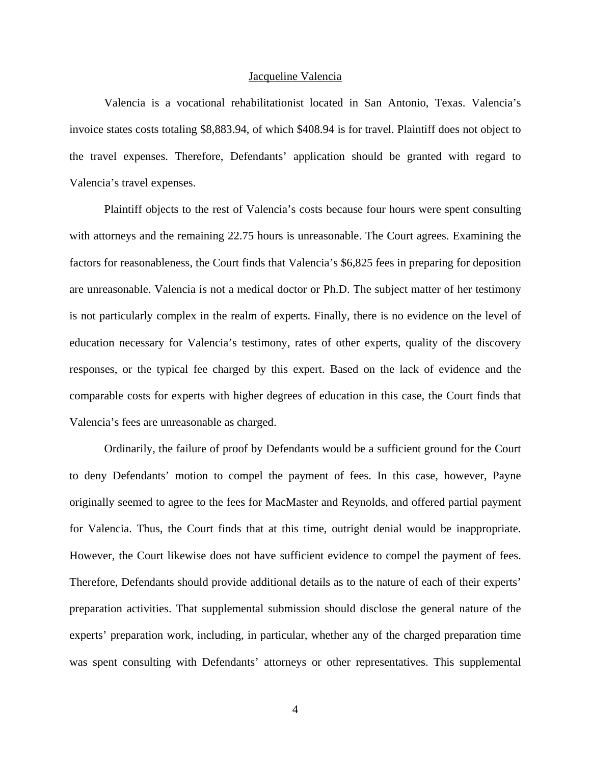#### Jacqueline Valencia

 Valencia is a vocational rehabilitationist located in San Antonio, Texas. Valencia's invoice states costs totaling \$8,883.94, of which \$408.94 is for travel. Plaintiff does not object to the travel expenses. Therefore, Defendants' application should be granted with regard to Valencia's travel expenses.

Plaintiff objects to the rest of Valencia's costs because four hours were spent consulting with attorneys and the remaining 22.75 hours is unreasonable. The Court agrees. Examining the factors for reasonableness, the Court finds that Valencia's \$6,825 fees in preparing for deposition are unreasonable. Valencia is not a medical doctor or Ph.D. The subject matter of her testimony is not particularly complex in the realm of experts. Finally, there is no evidence on the level of education necessary for Valencia's testimony, rates of other experts, quality of the discovery responses, or the typical fee charged by this expert. Based on the lack of evidence and the comparable costs for experts with higher degrees of education in this case, the Court finds that Valencia's fees are unreasonable as charged.

Ordinarily, the failure of proof by Defendants would be a sufficient ground for the Court to deny Defendants' motion to compel the payment of fees. In this case, however, Payne originally seemed to agree to the fees for MacMaster and Reynolds, and offered partial payment for Valencia. Thus, the Court finds that at this time, outright denial would be inappropriate. However, the Court likewise does not have sufficient evidence to compel the payment of fees. Therefore, Defendants should provide additional details as to the nature of each of their experts' preparation activities. That supplemental submission should disclose the general nature of the experts' preparation work, including, in particular, whether any of the charged preparation time was spent consulting with Defendants' attorneys or other representatives. This supplemental